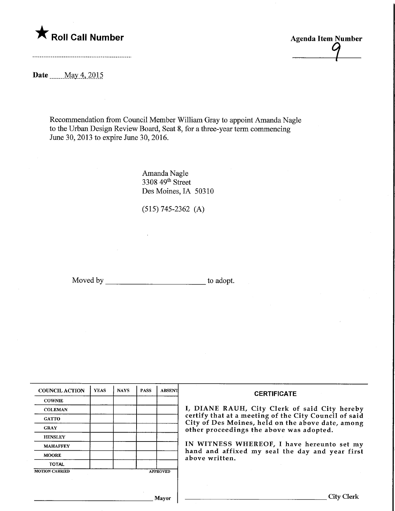

Agenda Item Number 1

Date <u>May 4</u>, 2015

Recommendation from Council Member William Gray to appoint Amanda Nagle to the Urban Design Review Board, Seat 8, for a three-year term commencing June 30, 2013 to expire June 30, 2016.

> Amanda Nagle 3308 49<sup>th</sup> Street Des Moines, IA 50310

(515) 745-2362 (A)

Moved by to adopt.

| <b>COUNCIL ACTION</b> | <b>YEAS</b> | <b>NAYS</b> | <b>PASS</b> | <b>ABSENT</b>   | <b>CERTIFICATE</b>                                                                                                                                     |  |  |
|-----------------------|-------------|-------------|-------------|-----------------|--------------------------------------------------------------------------------------------------------------------------------------------------------|--|--|
| <b>COWNIE</b>         |             |             |             |                 |                                                                                                                                                        |  |  |
| <b>COLEMAN</b>        |             |             |             |                 | I, DIANE RAUH, City Clerk of said City hereby                                                                                                          |  |  |
| <b>GATTO</b>          |             |             |             |                 | certify that at a meeting of the City Council of said<br>City of Des Moines, held on the above date, among<br>other proceedings the above was adopted. |  |  |
| <b>GRAY</b>           |             |             |             |                 |                                                                                                                                                        |  |  |
| <b>HENSLEY</b>        |             |             |             |                 |                                                                                                                                                        |  |  |
| <b>MAHAFFEY</b>       |             |             |             |                 | IN WITNESS WHEREOF, I have hereunto set my<br>hand and affixed my seal the day and year first<br>above written.                                        |  |  |
| <b>MOORE</b>          |             |             |             |                 |                                                                                                                                                        |  |  |
| <b>TOTAL</b>          |             |             |             |                 |                                                                                                                                                        |  |  |
| <b>MOTION CARRIED</b> |             |             |             | <b>APPROVED</b> |                                                                                                                                                        |  |  |
|                       |             |             |             |                 |                                                                                                                                                        |  |  |
|                       |             |             |             |                 |                                                                                                                                                        |  |  |
|                       |             |             |             | <b>Mayor</b>    | <b>City Clerk</b>                                                                                                                                      |  |  |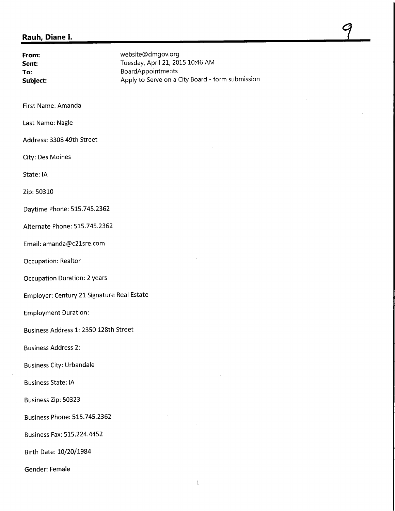## Rauh, Diane I.

| From:<br>Sent:<br>To:<br>Subject:          | website@dmgov.org<br>Tuesday, April 21, 2015 10:46 AM<br>BoardAppointments<br>Apply to Serve on a City Board - form submission |  |  |  |  |  |
|--------------------------------------------|--------------------------------------------------------------------------------------------------------------------------------|--|--|--|--|--|
| First Name: Amanda                         |                                                                                                                                |  |  |  |  |  |
| Last Name: Nagle                           |                                                                                                                                |  |  |  |  |  |
| Address: 3308 49th Street                  |                                                                                                                                |  |  |  |  |  |
| City: Des Moines                           |                                                                                                                                |  |  |  |  |  |
| State: IA                                  |                                                                                                                                |  |  |  |  |  |
| Zip: 50310                                 |                                                                                                                                |  |  |  |  |  |
| Daytime Phone: 515.745.2362                |                                                                                                                                |  |  |  |  |  |
| Alternate Phone: 515.745.2362              |                                                                                                                                |  |  |  |  |  |
| Email: amanda@c21sre.com                   |                                                                                                                                |  |  |  |  |  |
| Occupation: Realtor                        |                                                                                                                                |  |  |  |  |  |
| <b>Occupation Duration: 2 years</b>        |                                                                                                                                |  |  |  |  |  |
| Employer: Century 21 Signature Real Estate |                                                                                                                                |  |  |  |  |  |
| <b>Employment Duration:</b>                |                                                                                                                                |  |  |  |  |  |
| Business Address 1: 2350 128th Street      |                                                                                                                                |  |  |  |  |  |
| <b>Business Address 2:</b>                 |                                                                                                                                |  |  |  |  |  |
| <b>Business City: Urbandale</b>            |                                                                                                                                |  |  |  |  |  |
| <b>Business State: IA</b>                  |                                                                                                                                |  |  |  |  |  |
| Business Zip: 50323                        |                                                                                                                                |  |  |  |  |  |
| <b>Business Phone: 515.745.2362</b>        |                                                                                                                                |  |  |  |  |  |
| <b>Business Fax: 515.224.4452</b>          |                                                                                                                                |  |  |  |  |  |
| Birth Date: 10/20/1984                     |                                                                                                                                |  |  |  |  |  |
| Gender: Female                             |                                                                                                                                |  |  |  |  |  |

 $\frac{7}{2}$